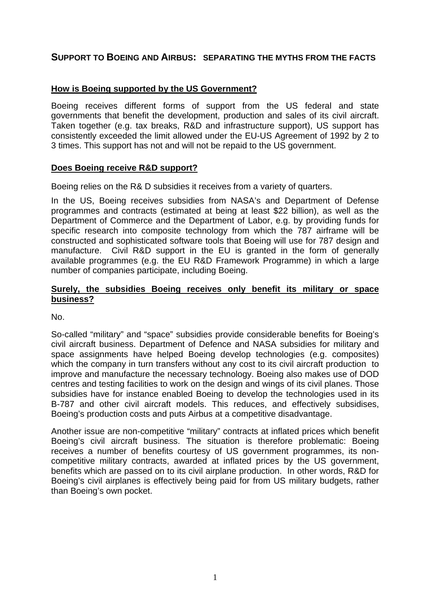# **SUPPORT TO BOEING AND AIRBUS: SEPARATING THE MYTHS FROM THE FACTS**

## **How is Boeing supported by the US Government?**

Boeing receives different forms of support from the US federal and state governments that benefit the development, production and sales of its civil aircraft. Taken together (e.g. tax breaks, R&D and infrastructure support), US support has consistently exceeded the limit allowed under the EU-US Agreement of 1992 by 2 to 3 times. This support has not and will not be repaid to the US government.

### **Does Boeing receive R&D support?**

Boeing relies on the R& D subsidies it receives from a variety of quarters.

In the US, Boeing receives subsidies from NASA's and Department of Defense programmes and contracts (estimated at being at least \$22 billion), as well as the Department of Commerce and the Department of Labor, e.g. by providing funds for specific research into composite technology from which the 787 airframe will be constructed and sophisticated software tools that Boeing will use for 787 design and manufacture. Civil R&D support in the EU is granted in the form of generally available programmes (e.g. the EU R&D Framework Programme) in which a large number of companies participate, including Boeing.

#### **Surely, the subsidies Boeing receives only benefit its military or space business?**

No.

So-called "military" and "space" subsidies provide considerable benefits for Boeing's civil aircraft business. Department of Defence and NASA subsidies for military and space assignments have helped Boeing develop technologies (e.g. composites) which the company in turn transfers without any cost to its civil aircraft production to improve and manufacture the necessary technology. Boeing also makes use of DOD centres and testing facilities to work on the design and wings of its civil planes. Those subsidies have for instance enabled Boeing to develop the technologies used in its B-787 and other civil aircraft models. This reduces, and effectively subsidises, Boeing's production costs and puts Airbus at a competitive disadvantage.

Another issue are non-competitive "military" contracts at inflated prices which benefit Boeing's civil aircraft business. The situation is therefore problematic: Boeing receives a number of benefits courtesy of US government programmes, its noncompetitive military contracts, awarded at inflated prices by the US government, benefits which are passed on to its civil airplane production. In other words, R&D for Boeing's civil airplanes is effectively being paid for from US military budgets, rather than Boeing's own pocket.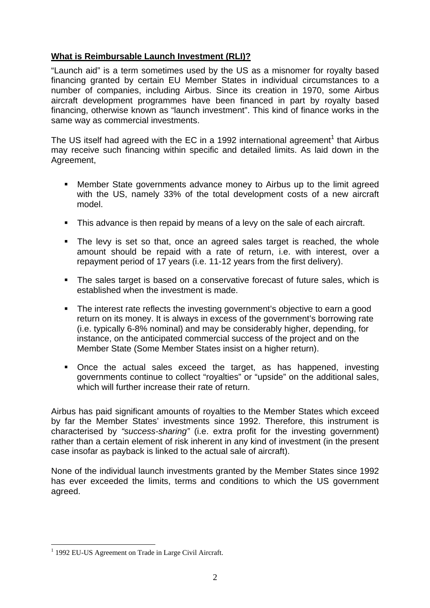## **What is Reimbursable Launch Investment (RLI)?**

"Launch aid" is a term sometimes used by the US as a misnomer for royalty based financing granted by certain EU Member States in individual circumstances to a number of companies, including Airbus. Since its creation in 1970, some Airbus aircraft development programmes have been financed in part by royalty based financing, otherwise known as "launch investment". This kind of finance works in the same way as commercial investments.

The US itself had agreed with the EC in a 1992 international agreement<sup>1</sup> that Airbus may receive such financing within specific and detailed limits. As laid down in the Agreement,

- Member State governments advance money to Airbus up to the limit agreed with the US, namely 33% of the total development costs of a new aircraft model.
- This advance is then repaid by means of a levy on the sale of each aircraft.
- The levy is set so that, once an agreed sales target is reached, the whole amount should be repaid with a rate of return, i.e. with interest, over a repayment period of 17 years (i.e. 11-12 years from the first delivery).
- The sales target is based on a conservative forecast of future sales, which is established when the investment is made.
- The interest rate reflects the investing government's objective to earn a good return on its money. It is always in excess of the government's borrowing rate (i.e. typically 6-8% nominal) and may be considerably higher, depending, for instance, on the anticipated commercial success of the project and on the Member State (Some Member States insist on a higher return).
- Once the actual sales exceed the target, as has happened, investing governments continue to collect "royalties" or "upside" on the additional sales, which will further increase their rate of return.

Airbus has paid significant amounts of royalties to the Member States which exceed by far the Member States' investments since 1992. Therefore, this instrument is characterised by *"success-sharing"* (i.e. extra profit for the investing government) rather than a certain element of risk inherent in any kind of investment (in the present case insofar as payback is linked to the actual sale of aircraft).

None of the individual launch investments granted by the Member States since 1992 has ever exceeded the limits, terms and conditions to which the US government agreed.

<sup>1</sup> <sup>1</sup> 1992 EU-US Agreement on Trade in Large Civil Aircraft.